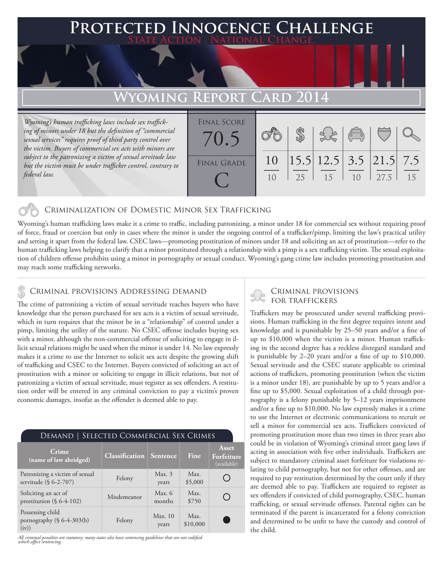## **FD INNOCENCE CHALLENGE State Action . National Change.**

# **Wyoming Report Card 2014**

*Wyoming's human trafficking laws include sex trafficking of minors under 18 but the definition of "commercial sexual services" requires proof of third party control over the victim. Buyers of commercial sex acts with minors are subject to the patronizing a victim of sexual servitude law but the victim must be under trafficker control, contrary to federal law.* 

| <b>FINAL SCORE</b><br>70.5 |                      |    |                                                                | $\begin{pmatrix} 0 & 0 \\ 0 & 0 \end{pmatrix}$ |      |    |
|----------------------------|----------------------|----|----------------------------------------------------------------|------------------------------------------------|------|----|
| <b>FINAL GRADE</b>         | 10<br>1 <sub>0</sub> | 25 | $\left  15.5 \right  12.5$ 3.5 $\left  21.5 \right  7.5$<br>15 | 10                                             | 27.5 | 15 |

### Criminalization of Domestic Minor Sex Trafficking

Wyoming's human trafficking laws make it a crime to traffic, including patronizing, a minor under 18 for commercial sex without requiring proof of force, fraud or coercion but only in cases where the minor is under the ongoing control of a trafficker/pimp, limiting the law's practical utility and setting it apart from the federal law. CSEC laws—promoting prostitution of minors under 18 and soliciting an act of prostitution—refer to the human trafficking laws helping to clarify that a minor prostituted through a relationship with a pimp is a sex trafficking victim. The sexual exploitation of children offense prohibits using a minor in pornography or sexual conduct. Wyoming's gang crime law includes promoting prostitution and may reach some trafficking networks.

#### Criminal provisions Addressing demand

The crime of patronizing a victim of sexual servitude reaches buyers who have knowledge that the person purchased for sex acts is a victim of sexual servitude, which in turn requires that the minor be in a "relationship" of control under a pimp, limiting the utility of the statute. No CSEC offense includes buying sex with a minor, although the non-commercial offense of soliciting to engage in illicit sexual relations might be used when the minor is under 14. No law expressly makes it a crime to use the Internet to solicit sex acts despite the growing shift of trafficking and CSEC to the Internet. Buyers convicted of soliciting an act of prostitution with a minor or soliciting to engage in illicit relations, but not of patronizing a victim of sexual servitude, must register as sex offenders. A restitution order will be entered in any criminal conviction to pay a victim's proven economic damages, insofar as the offender is deemed able to pay.

| SELECTED COMMERCIAL SEX CRIMES<br>DEMAND                   |                       |                    |                  |                                    |  |  |  |  |
|------------------------------------------------------------|-----------------------|--------------------|------------------|------------------------------------|--|--|--|--|
| Crime<br>(name of law abridged)                            | <b>Classification</b> | <b>Sentence</b>    | Fine             | Asset<br>Forfeiture<br>(available) |  |  |  |  |
| Patronizing a victim of sexual<br>servitude (§ 6-2-707)    | Felony                | Max.3<br>years     | Max.<br>\$5,000  |                                    |  |  |  |  |
| Soliciting an act of<br>prostitution $(\S 6-4-102)$        | Misdemeanor           | Max. $6$<br>months | Max.<br>\$750    | - 1                                |  |  |  |  |
| Possessing child<br>pornography $(\S 6-4-303(b))$<br>(iv)) | Felony                | Max.10<br>years    | Max.<br>\$10,000 |                                    |  |  |  |  |

*All criminal penalties are statutory; many states also have sentencing guidelines that are not codified which affect sentencing.* 

# Criminal provisions

Traffickers may be prosecuted under several trafficking provisions. Human trafficking in the first degree requires intent and knowledge and is punishable by 25–50 years and/or a fine of up to \$10,000 when the victim is a minor. Human trafficking in the second degree has a reckless disregard standard and is punishable by 2–20 years and/or a fine of up to \$10,000. Sexual servitude and the CSEC statute applicable to criminal actions of traffickers, promoting prostitution (when the victim is a minor under 18), are punishable by up to 5 years and/or a fine up to \$5,000. Sexual exploitation of a child through pornography is a felony punishable by 5–12 years imprisonment and/or a fine up to \$10,000. No law expressly makes it a crime to use the Internet or electronic communications to recruit or sell a minor for commercial sex acts. Traffickers convicted of promoting prostitution more than two times in three years also could be in violation of Wyoming's criminal street gang laws if acting in association with five other individuals. Traffickers are subject to mandatory criminal asset forfeiture for violations relating to child pornography, but not for other offenses, and are required to pay restitution determined by the court only if they are deemed able to pay. Traffickers are required to register as sex offenders if convicted of child pornography, CSEC, human trafficking, or sexual servitude offenses. Parental rights can be terminated if the parent is incarcerated for a felony conviction and determined to be unfit to have the custody and control of the child.